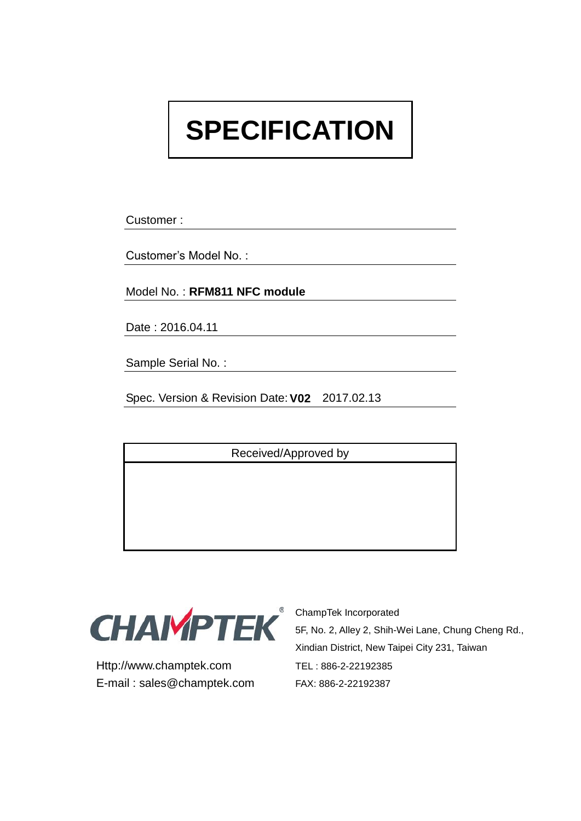# **SPECIFICATION**

Customer :

Customer's Model No. :

Model No. : **RFM811 NFC module**

Date : 2016.04.11

Sample Serial No. :

Spec. Version & Revision Date:**V02** 2017.02.13

Received/Approved by



Http://www.champtek.com TEL : 886-2-22192385 E-mail : sales@champtek.com FAX: 886-2-22192387

ChampTek Incorporated 5F, No. 2, Alley 2, Shih-Wei Lane, Chung Cheng Rd., Xindian District, New Taipei City 231, Taiwan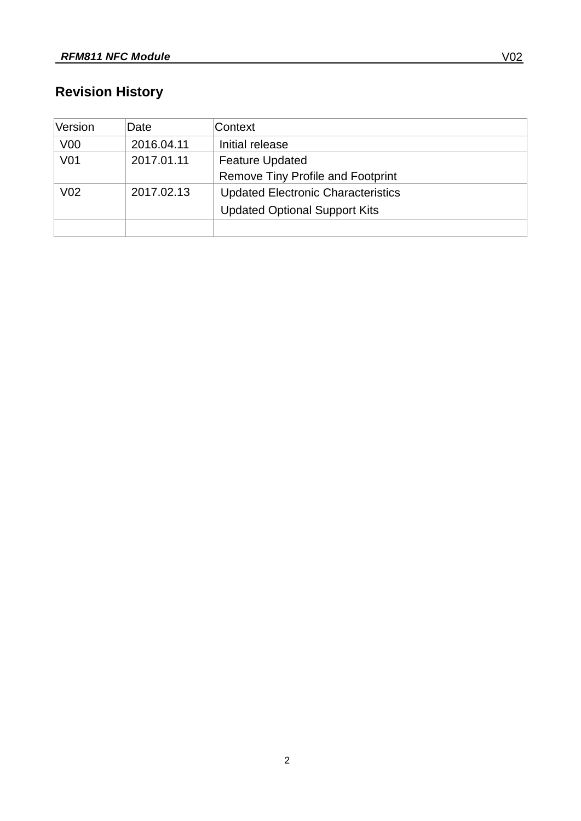# **Revision History**

| Version         | Date       | Context                                   |
|-----------------|------------|-------------------------------------------|
| V <sub>00</sub> | 2016.04.11 | Initial release                           |
| V <sub>01</sub> | 2017.01.11 | <b>Feature Updated</b>                    |
|                 |            | <b>Remove Tiny Profile and Footprint</b>  |
| V <sub>02</sub> | 2017.02.13 | <b>Updated Electronic Characteristics</b> |
|                 |            | <b>Updated Optional Support Kits</b>      |
|                 |            |                                           |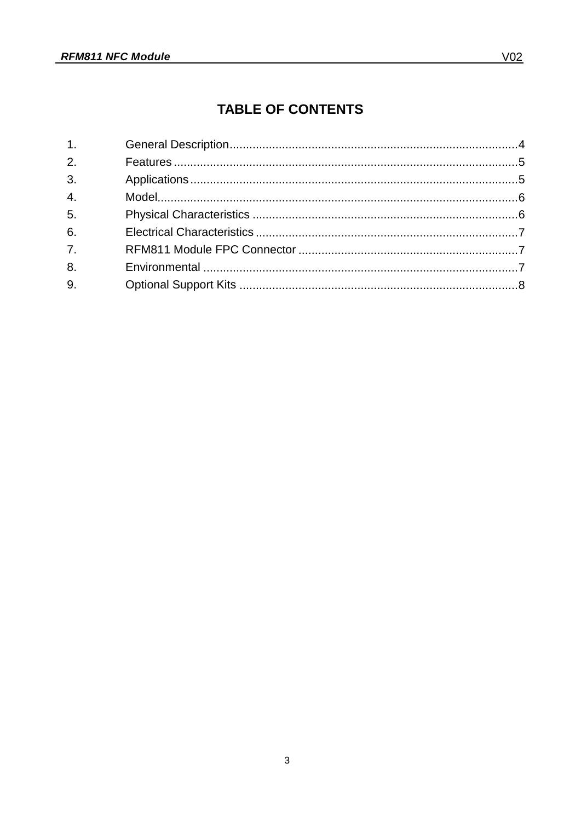## **TABLE OF CONTENTS**

| 1.               |  |
|------------------|--|
| 2.               |  |
| 3 <sub>1</sub>   |  |
| 4.               |  |
| 5.               |  |
| 6.               |  |
| $\overline{7}$ . |  |
| 8.               |  |
| 9.               |  |
|                  |  |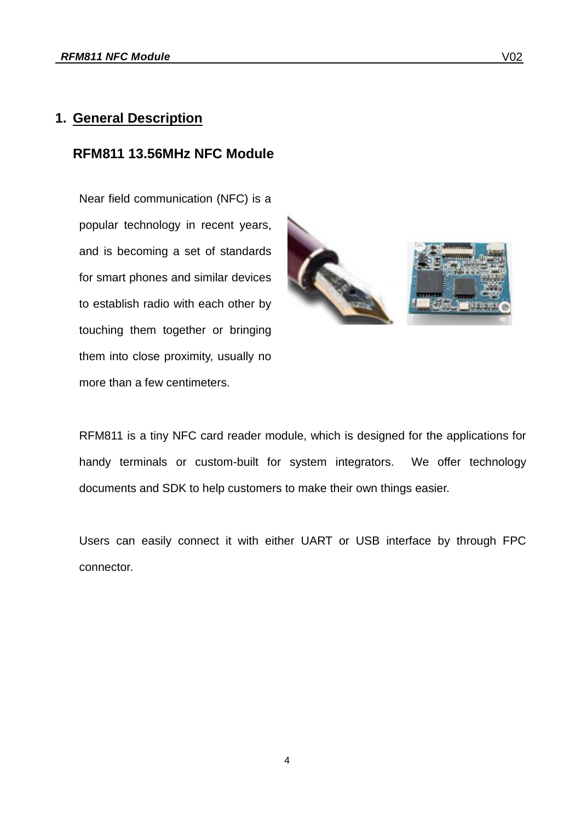#### <span id="page-3-0"></span>**1. General Description**

#### **RFM811 13.56MHz NFC Module**

Near field communication (NFC) is a popular technology in recent years, and is becoming a set of standards for smart phones and similar devices to establish radio with each other by touching them together or bringing them into close proximity, usually no more than a few centimeters.



RFM811 is a tiny NFC card reader module, which is designed for the applications for handy terminals or custom-built for system integrators. We offer technology documents and SDK to help customers to make their own things easier.

Users can easily connect it with either UART or USB interface by through FPC connector.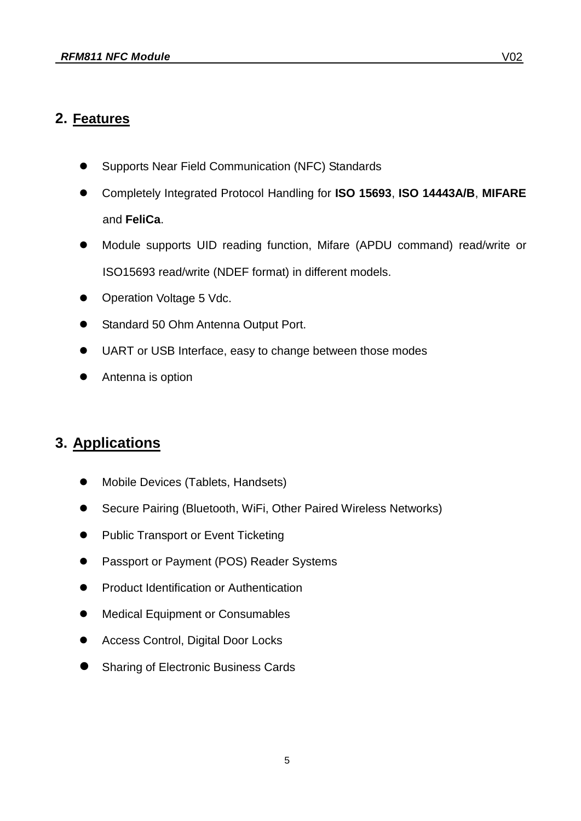#### <span id="page-4-0"></span>**2. Features**

- Supports Near Field Communication (NFC) Standards
- Completely Integrated Protocol Handling for **ISO 15693**, **ISO 14443A/B**, **MIFARE** and **FeliCa**.
- Module supports UID reading function, Mifare (APDU command) read/write or ISO15693 read/write (NDEF format) in different models.
- Operation Voltage 5 Vdc.
- Standard 50 Ohm Antenna Output Port.
- UART or USB Interface, easy to change between those modes
- Antenna is option

#### <span id="page-4-1"></span>**3. Applications**

- Mobile Devices (Tablets, Handsets)
- Secure Pairing (Bluetooth, WiFi, Other Paired Wireless Networks)
- Public Transport or Event Ticketing
- Passport or Payment (POS) Reader Systems
- Product Identification or Authentication
- $\bullet$  Medical Equipment or Consumables
- Access Control, Digital Door Locks
- Sharing of Electronic Business Cards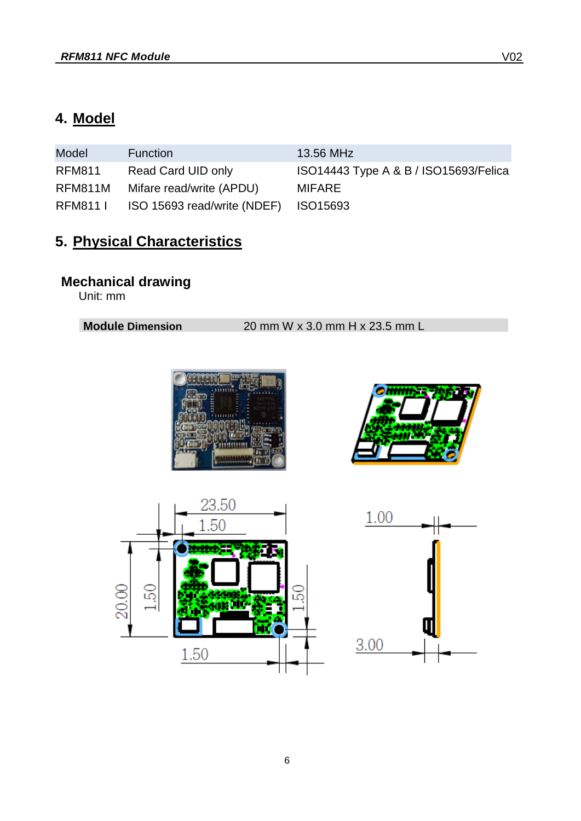# <span id="page-5-0"></span>**4. Model**

| Model         | <b>Function</b>                      | 13.56 MHz                             |
|---------------|--------------------------------------|---------------------------------------|
| <b>RFM811</b> | Read Card UID only                   | ISO14443 Type A & B / ISO15693/Felica |
| RFM811M       | Mifare read/write (APDU)             | MIFARE                                |
| RFM811 I      | ISO 15693 read/write (NDEF) ISO15693 |                                       |

# <span id="page-5-1"></span>**5. Physical Characteristics**

#### **Mechanical drawing**

Unit: mm

**Module Dimension** 20 mm W x 3.0 mm H x 23.5 mm L







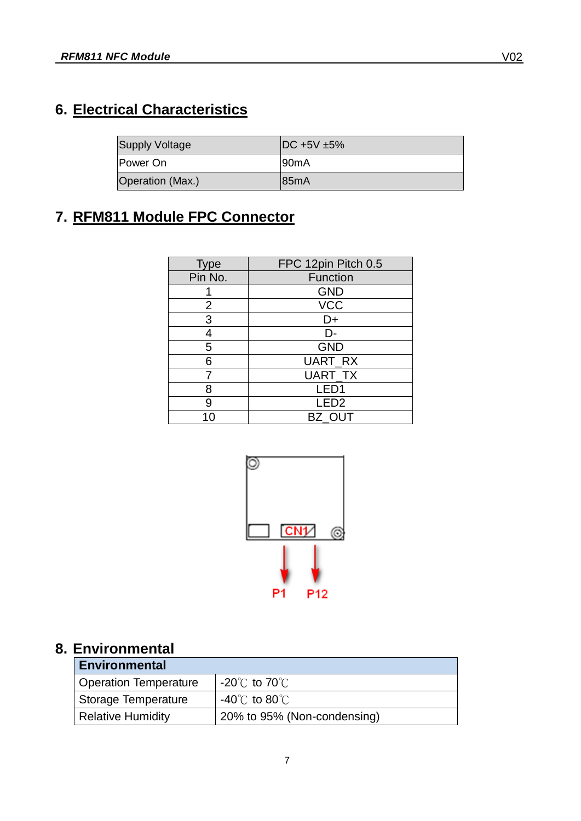# <span id="page-6-0"></span>**6. Electrical Characteristics**

| <b>Supply Voltage</b> | $DC +5V +5%$      |
|-----------------------|-------------------|
| Power On              | 90 <sub>m</sub> A |
| Operation (Max.)      | 185mA             |

# <span id="page-6-1"></span>**7. RFM811 Module FPC Connector**

| <b>Type</b> | FPC 12pin Pitch 0.5 |
|-------------|---------------------|
| Pin No.     | Function            |
|             | <b>GND</b>          |
| 2           | <b>VCC</b>          |
| 3           | D+                  |
| 4           | D-                  |
| 5           | <b>GND</b>          |
| Բ           | UART_RX             |
|             | UART_TX             |
| 8           | LED <sub>1</sub>    |
| 9           | LED <sub>2</sub>    |
|             | BZ OUT              |



### <span id="page-6-2"></span>**8. Environmental**

| <b>Environmental</b>  |                                    |  |  |
|-----------------------|------------------------------------|--|--|
| Operation Temperature | $-20^{\circ}$ C to 70 $^{\circ}$ C |  |  |
| Storage Temperature   | $-40^{\circ}$ C to 80 $^{\circ}$ C |  |  |
| Relative Humidity     | 20% to 95% (Non-condensing)        |  |  |